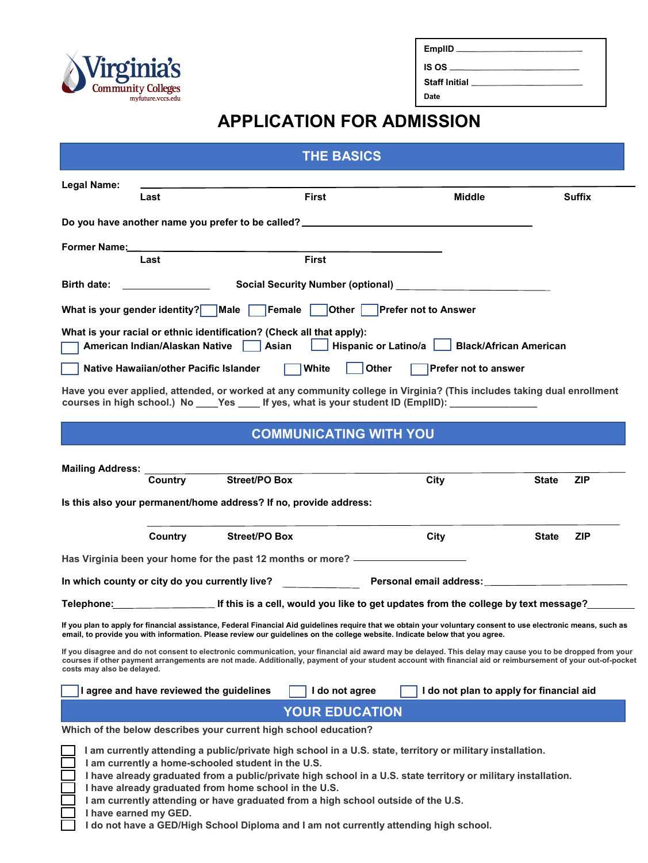

| EmpliD  |  |
|---------|--|
| IS OS _ |  |

**Staff Initial** 

**Date** 

## **APPLICATION FOR ADMISSION**

|                                                                                                                                                                  | <b>THE BASICS</b>                                                                                                                                                                                                                                                                                                        |                                          |                            |
|------------------------------------------------------------------------------------------------------------------------------------------------------------------|--------------------------------------------------------------------------------------------------------------------------------------------------------------------------------------------------------------------------------------------------------------------------------------------------------------------------|------------------------------------------|----------------------------|
| Legal Name:<br>Last                                                                                                                                              | <b>First</b>                                                                                                                                                                                                                                                                                                             | <b>Middle</b>                            | <b>Suffix</b>              |
|                                                                                                                                                                  | Do you have another name you prefer to be called? ______________________________                                                                                                                                                                                                                                         |                                          |                            |
| Former Name:                                                                                                                                                     |                                                                                                                                                                                                                                                                                                                          |                                          |                            |
| Last                                                                                                                                                             | <b>First</b>                                                                                                                                                                                                                                                                                                             |                                          |                            |
| <b>Birth date:</b>                                                                                                                                               |                                                                                                                                                                                                                                                                                                                          |                                          |                            |
| What is your gender identity? Male Female                                                                                                                        |                                                                                                                                                                                                                                                                                                                          | Other Prefer not to Answer               |                            |
| What is your racial or ethnic identification? (Check all that apply):<br>Hispanic or Latino/a   Black/African American<br>American Indian/Alaskan Native   Asian |                                                                                                                                                                                                                                                                                                                          |                                          |                            |
| Native Hawaiian/other Pacific Islander                                                                                                                           | White                                                                                                                                                                                                                                                                                                                    | Other<br>Prefer not to answer            |                            |
|                                                                                                                                                                  | Have you ever applied, attended, or worked at any community college in Virginia? (This includes taking dual enrollment<br>courses in high school.) No ____Yes _____ If yes, what is your student ID (EmpIID): _______________                                                                                            |                                          |                            |
|                                                                                                                                                                  | <b>COMMUNICATING WITH YOU</b>                                                                                                                                                                                                                                                                                            |                                          |                            |
| <b>Mailing Address:</b><br><b>Country</b>                                                                                                                        | Street/PO Box<br>Is this also your permanent/home address? If no, provide address:                                                                                                                                                                                                                                       | City                                     | <b>State</b><br><b>ZIP</b> |
| Country                                                                                                                                                          | <b>Street/PO Box</b>                                                                                                                                                                                                                                                                                                     | City                                     | <b>State</b><br><b>ZIP</b> |
|                                                                                                                                                                  | Has Virginia been your home for the past 12 months or more? ____________________                                                                                                                                                                                                                                         |                                          |                            |
| In which county or city do you currently live? Personal email address: ____________________________                                                              |                                                                                                                                                                                                                                                                                                                          |                                          |                            |
|                                                                                                                                                                  | Telephone: _________________________If this is a cell, would you like to get updates from the college by text message?_______                                                                                                                                                                                            |                                          |                            |
|                                                                                                                                                                  | If you plan to apply for financial assistance, Federal Financial Aid guidelines require that we obtain your voluntary consent to use electronic means, such as<br>email, to provide you with information. Please review our guidelines on the college website. Indicate below that you agree.                            |                                          |                            |
| costs may also be delayed.                                                                                                                                       | If you disagree and do not consent to electronic communication, your financial aid award may be delayed. This delay may cause you to be dropped from your<br>courses if other payment arrangements are not made. Additionally, payment of your student account with financial aid or reimbursement of your out-of-pocket |                                          |                            |
| I agree and have reviewed the guidelines                                                                                                                         | I do not agree                                                                                                                                                                                                                                                                                                           | I do not plan to apply for financial aid |                            |
|                                                                                                                                                                  | <b>YOUR EDUCATION</b>                                                                                                                                                                                                                                                                                                    |                                          |                            |
|                                                                                                                                                                  | Which of the below describes your current high school education?                                                                                                                                                                                                                                                         |                                          |                            |
| I am currently a home-schooled student in the U.S.<br>I have already graduated from home school in the U.S.<br>I have earned my GED.                             | I am currently attending a public/private high school in a U.S. state, territory or military installation.<br>I have already graduated from a public/private high school in a U.S. state territory or military installation.<br>I am currently attending or have graduated from a high school outside of the U.S.        |                                          |                            |

**I do not have a GED/High School Diploma and I am not currently attending high school.**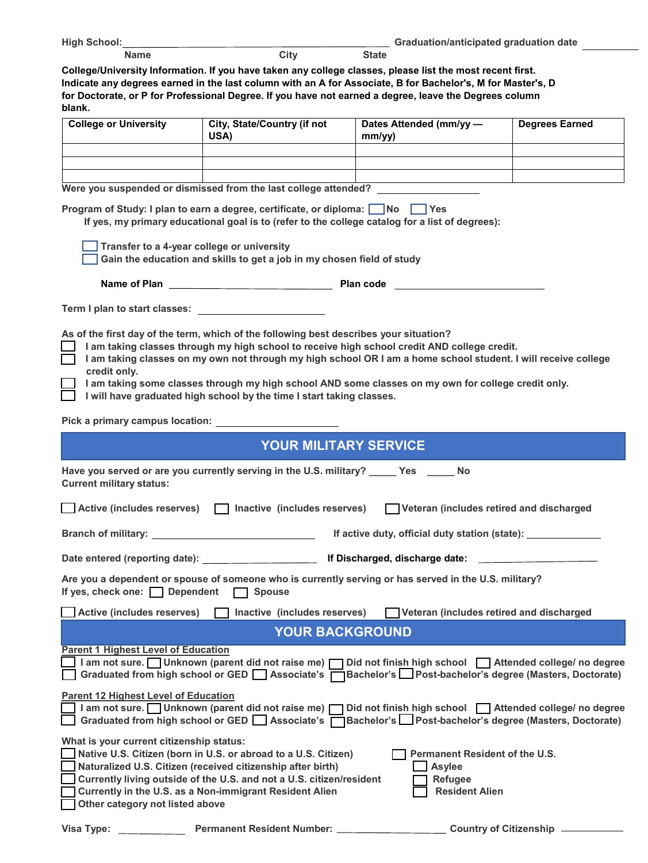| High School: |      |              | Graduation/anticipated graduation date |  |
|--------------|------|--------------|----------------------------------------|--|
| Name         | Citv | <b>State</b> |                                        |  |

**College/University Information. If you have taken any college classes, please list the most recent first. Indicate any degrees earned in the last column with an A for Associate, B for Bachelor's, M for Master's, D for Doctorate, or P for Professional Degree. If you have not earned a degree, leave the Degrees column blank.**

| <b>College or University</b> | <b>City, State/Country (if not</b><br>USA) | Dates Attended (mm/yy —<br>mm/vv) | <b>Degrees Earned</b> |
|------------------------------|--------------------------------------------|-----------------------------------|-----------------------|
|                              |                                            |                                   |                       |
|                              |                                            |                                   |                       |
|                              |                                            |                                   |                       |

| Were you suspended or dismissed from the last college attended?                                                                                                                                                                                                                                                                                                                                                                                                                                          |  |
|----------------------------------------------------------------------------------------------------------------------------------------------------------------------------------------------------------------------------------------------------------------------------------------------------------------------------------------------------------------------------------------------------------------------------------------------------------------------------------------------------------|--|
| Program of Study: I plan to earn a degree, certificate, or diploma: □ No □ Yes<br>If yes, my primary educational goal is to (refer to the college catalog for a list of degrees):                                                                                                                                                                                                                                                                                                                        |  |
| Transfer to a 4-year college or university<br>Gain the education and skills to get a job in my chosen field of study                                                                                                                                                                                                                                                                                                                                                                                     |  |
|                                                                                                                                                                                                                                                                                                                                                                                                                                                                                                          |  |
| Term I plan to start classes: The start of the start of the start of the start of the start of the start of the start of the start of the start of the start of the start of the start of the start of the start of the start                                                                                                                                                                                                                                                                            |  |
| As of the first day of the term, which of the following best describes your situation?<br>I am taking classes through my high school to receive high school credit AND college credit.<br>I am taking classes on my own not through my high school OR I am a home school student. I will receive college<br>credit only.<br>I am taking some classes through my high school AND some classes on my own for college credit only.<br>I will have graduated high school by the time I start taking classes. |  |
| Pick a primary campus location:                                                                                                                                                                                                                                                                                                                                                                                                                                                                          |  |
| <b>YOUR MILITARY SERVICE</b>                                                                                                                                                                                                                                                                                                                                                                                                                                                                             |  |
| Have you served or are you currently serving in the U.S. military? _____ Yes _____ No<br><b>Current military status:</b>                                                                                                                                                                                                                                                                                                                                                                                 |  |
| Active (includes reserves)     Inactive (includes reserves)<br>Veteran (includes retired and discharged                                                                                                                                                                                                                                                                                                                                                                                                  |  |
| <u> 1980 - Johann Barbara, martin a</u><br><b>Branch of military:</b><br>If active duty, official duty station (state): _______________                                                                                                                                                                                                                                                                                                                                                                  |  |
| Date entered (reporting date): The Mate of the Mischarged, discharge date: _                                                                                                                                                                                                                                                                                                                                                                                                                             |  |
| Are you a dependent or spouse of someone who is currently serving or has served in the U.S. military?<br>If yes, check one: $\Box$ Dependent<br>$\Box$ Spouse                                                                                                                                                                                                                                                                                                                                            |  |
| Active (includes reserves)     Inactive (includes reserves)<br>Veteran (includes retired and discharged                                                                                                                                                                                                                                                                                                                                                                                                  |  |
| <b>YOUR BACKGROUND</b>                                                                                                                                                                                                                                                                                                                                                                                                                                                                                   |  |
| <b>Parent 1 Highest Level of Education</b><br>am not sure. Unknown (parent did not raise me) Did not finish high school Attended college/ no degree<br>Graduated from high school or GED Associate's Bachelor's Post-bachelor's degree (Masters, Doctorate)                                                                                                                                                                                                                                              |  |
| <b>Parent 12 Highest Level of Education</b><br>I am not sure. Unknown (parent did not raise me)<br>Did not finish high school   Attended college/ no degree<br>Bachelor's Post-bachelor's degree (Masters, Doctorate)<br>Graduated from high school or GED Associate's [                                                                                                                                                                                                                                 |  |
| What is your current citizenship status:<br>Native U.S. Citizen (born in U.S. or abroad to a U.S. Citizen)<br>Permanent Resident of the U.S.<br>Naturalized U.S. Citizen (received citizenship after birth)<br><b>Asylee</b><br>Currently living outside of the U.S. and not a U.S. citizen/resident<br><b>Refugee</b><br>Currently in the U.S. as a Non-immigrant Resident Alien<br><b>Resident Alien</b><br>Other category not listed above                                                            |  |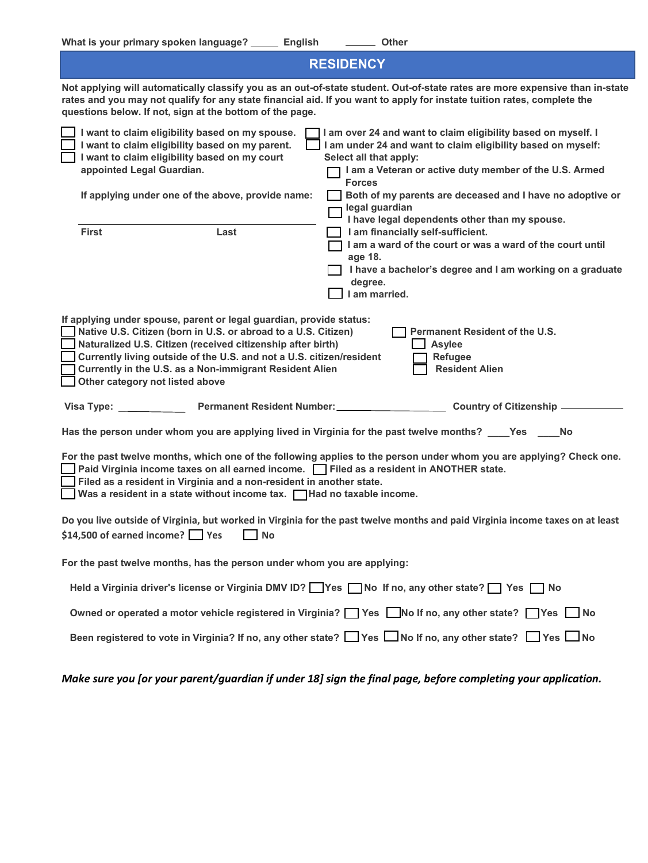| <b>RESIDENCY</b>                                                                                                                                                                                                                                                                                                                                                           |                                                                                                                                                                                                                                                                                                                   |  |
|----------------------------------------------------------------------------------------------------------------------------------------------------------------------------------------------------------------------------------------------------------------------------------------------------------------------------------------------------------------------------|-------------------------------------------------------------------------------------------------------------------------------------------------------------------------------------------------------------------------------------------------------------------------------------------------------------------|--|
| questions below. If not, sign at the bottom of the page.                                                                                                                                                                                                                                                                                                                   | Not applying will automatically classify you as an out-of-state student. Out-of-state rates are more expensive than in-state<br>rates and you may not qualify for any state financial aid. If you want to apply for instate tuition rates, complete the                                                           |  |
| I want to claim eligibility based on my spouse.<br>I want to claim eligibility based on my parent.<br>I want to claim eligibility based on my court<br>appointed Legal Guardian.<br>If applying under one of the above, provide name:                                                                                                                                      | I am over 24 and want to claim eligibility based on myself. I<br>I am under 24 and want to claim eligibility based on myself:<br>Select all that apply:<br>I am a Veteran or active duty member of the U.S. Armed<br><b>Forces</b><br>Both of my parents are deceased and I have no adoptive or<br>legal guardian |  |
| <b>First</b><br>Last                                                                                                                                                                                                                                                                                                                                                       | I have legal dependents other than my spouse.<br>I am financially self-sufficient.<br>I am a ward of the court or was a ward of the court until<br>age 18.<br>I have a bachelor's degree and I am working on a graduate<br>degree.<br>I am married.                                                               |  |
| If applying under spouse, parent or legal guardian, provide status:<br>Native U.S. Citizen (born in U.S. or abroad to a U.S. Citizen)<br>Naturalized U.S. Citizen (received citizenship after birth)<br>Currently living outside of the U.S. and not a U.S. citizen/resident<br>Currently in the U.S. as a Non-immigrant Resident Alien<br>Other category not listed above | Permanent Resident of the U.S.<br><b>Asylee</b><br>Refugee<br><b>Resident Alien</b>                                                                                                                                                                                                                               |  |
| Permanent Resident Number:<br>Visa Type:                                                                                                                                                                                                                                                                                                                                   | <b>Country of Citizenship -</b>                                                                                                                                                                                                                                                                                   |  |
|                                                                                                                                                                                                                                                                                                                                                                            | Has the person under whom you are applying lived in Virginia for the past twelve months? ____Yes ____No                                                                                                                                                                                                           |  |
| Paid Virginia income taxes on all earned income. Filed as a resident in ANOTHER state.<br>Filed as a resident in Virginia and a non-resident in another state.<br>Was a resident in a state without income tax. $\Box$ Had no taxable income.                                                                                                                              | For the past twelve months, which one of the following applies to the person under whom you are applying? Check one.                                                                                                                                                                                              |  |
| \$14,500 of earned income? Yes<br><b>No</b>                                                                                                                                                                                                                                                                                                                                | Do you live outside of Virginia, but worked in Virginia for the past twelve months and paid Virginia income taxes on at least                                                                                                                                                                                     |  |
| For the past twelve months, has the person under whom you are applying:                                                                                                                                                                                                                                                                                                    |                                                                                                                                                                                                                                                                                                                   |  |
|                                                                                                                                                                                                                                                                                                                                                                            | Held a Virginia driver's license or Virginia DMV ID? Ves No If no, any other state? Ses No                                                                                                                                                                                                                        |  |
|                                                                                                                                                                                                                                                                                                                                                                            | Owned or operated a motor vehicle registered in Virginia? $\Box$ Yes $\Box$ No If no, any other state? $\Box$ Yes $\Box$ No                                                                                                                                                                                       |  |
|                                                                                                                                                                                                                                                                                                                                                                            | Been registered to vote in Virginia? If no, any other state? $\Box$ Yes $\Box$ No If no, any other state? $\Box$ Yes $\Box$ No                                                                                                                                                                                    |  |

*Make sure you [or your parent/guardian if under 18] sign the final page, before completing your application.*